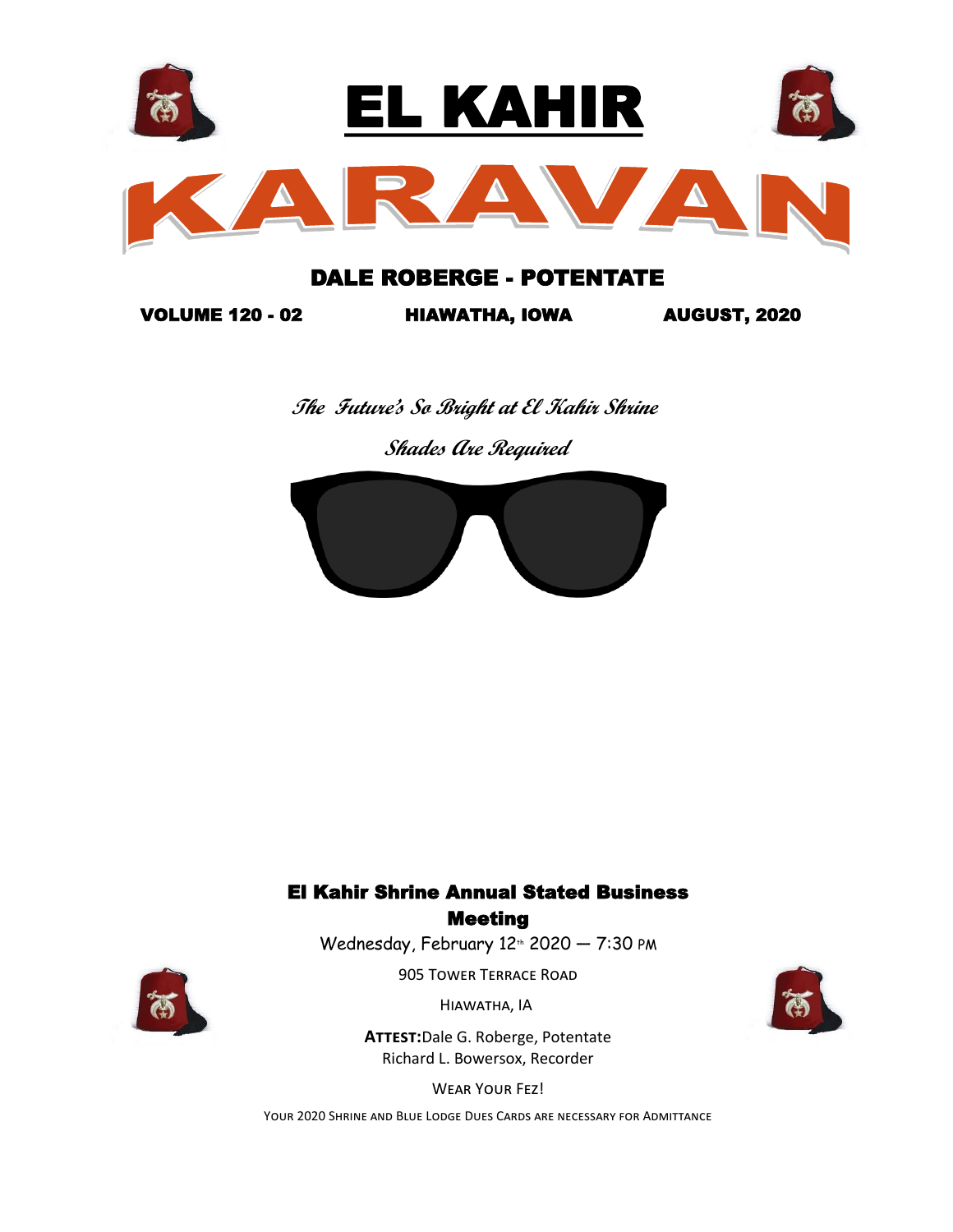

## DALE ROBERGE - POTENTATE

VOLUME 120 - 02 HIAWATHA, IOWA AUGUST, 2020

 **The Future's So Bright at El Kahir Shrine** 

 **Shades Are Required**



## El Kahir Shrine Annual Stated Business **Meeting**

Wednesday, February  $12<sup>th</sup>$  2020  $-7:30$  PM

905 Tower Terrace Road



Hiawatha, IA

**Attest:**Dale G. Roberge, Potentate Richard L. Bowersox, Recorder

Wear Your Fez!

Your 2020 Shrine and Blue Lodge Dues Cards are necessary for Admittance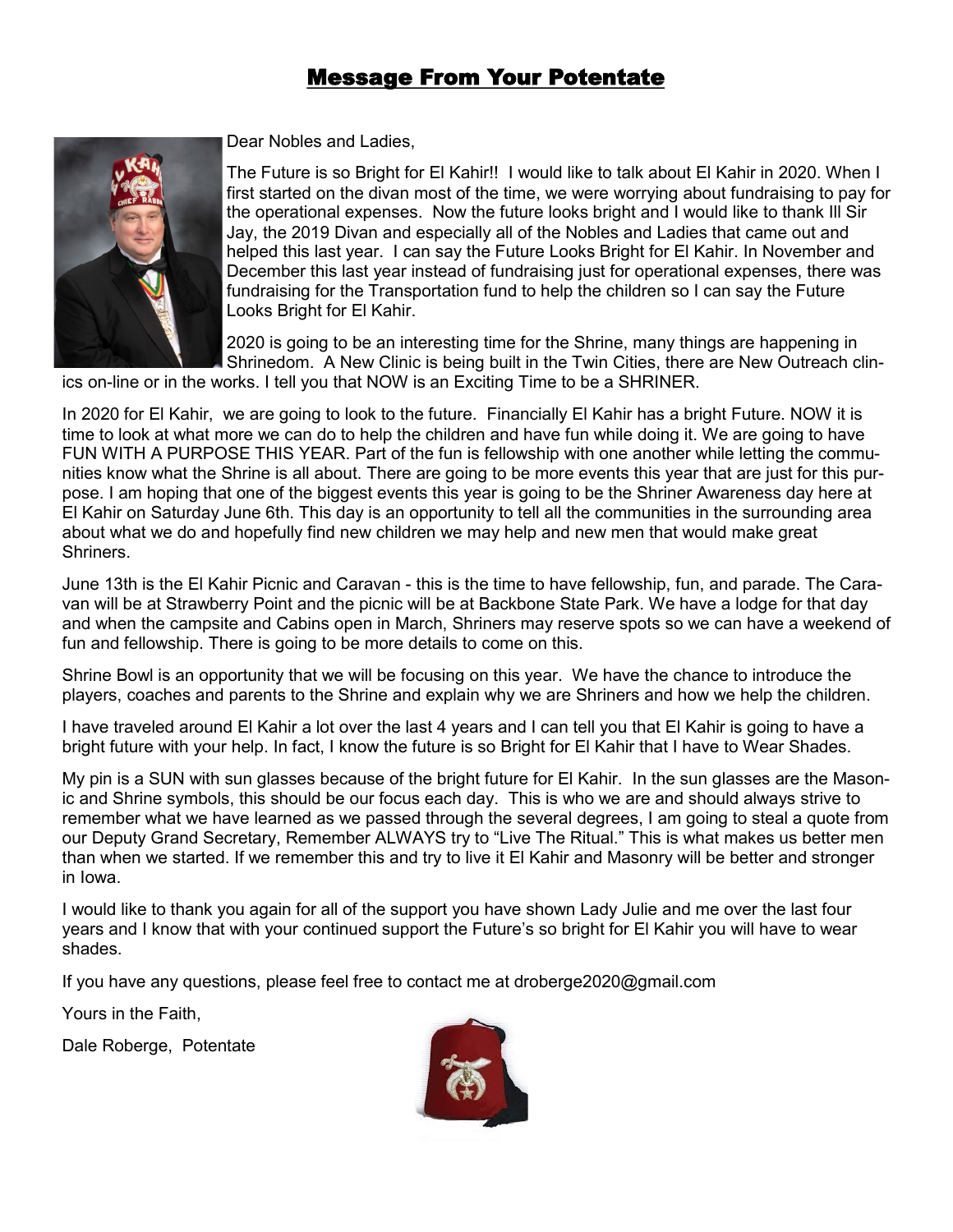# Message From Your Potentate



Dear Nobles and Ladies,

The Future is so Bright for El Kahir!! I would like to talk about El Kahir in 2020. When I first started on the divan most of the time, we were worrying about fundraising to pay for the operational expenses. Now the future looks bright and I would like to thank Ill Sir Jay, the 2019 Divan and especially all of the Nobles and Ladies that came out and helped this last year. I can say the Future Looks Bright for El Kahir. In November and December this last year instead of fundraising just for operational expenses, there was fundraising for the Transportation fund to help the children so I can say the Future Looks Bright for El Kahir.

2020 is going to be an interesting time for the Shrine, many things are happening in Shrinedom. A New Clinic is being built in the Twin Cities, there are New Outreach clin-

ics on-line or in the works. I tell you that NOW is an Exciting Time to be a SHRINER.

In 2020 for El Kahir, we are going to look to the future. Financially El Kahir has a bright Future. NOW it is time to look at what more we can do to help the children and have fun while doing it. We are going to have FUN WITH A PURPOSE THIS YEAR. Part of the fun is fellowship with one another while letting the communities know what the Shrine is all about. There are going to be more events this year that are just for this purpose. I am hoping that one of the biggest events this year is going to be the Shriner Awareness day here at El Kahir on Saturday June 6th. This day is an opportunity to tell all the communities in the surrounding area about what we do and hopefully find new children we may help and new men that would make great Shriners.

June 13th is the El Kahir Picnic and Caravan - this is the time to have fellowship, fun, and parade. The Caravan will be at Strawberry Point and the picnic will be at Backbone State Park. We have a lodge for that day and when the campsite and Cabins open in March, Shriners may reserve spots so we can have a weekend of fun and fellowship. There is going to be more details to come on this.

Shrine Bowl is an opportunity that we will be focusing on this year. We have the chance to introduce the players, coaches and parents to the Shrine and explain why we are Shriners and how we help the children.

I have traveled around El Kahir a lot over the last 4 years and I can tell you that El Kahir is going to have a bright future with your help. In fact, I know the future is so Bright for El Kahir that I have to Wear Shades.

My pin is a SUN with sun glasses because of the bright future for El Kahir. In the sun glasses are the Masonic and Shrine symbols, this should be our focus each day. This is who we are and should always strive to remember what we have learned as we passed through the several degrees, I am going to steal a quote from our Deputy Grand Secretary, Remember ALWAYS try to "Live The Ritual." This is what makes us better men than when we started. If we remember this and try to live it El Kahir and Masonry will be better and stronger in Iowa.

I would like to thank you again for all of the support you have shown Lady Julie and me over the last four years and I know that with your continued support the Future's so bright for El Kahir you will have to wear shades.

If you have any questions, please feel free to contact me at droberge2020@gmail.com

Yours in the Faith,

Dale Roberge,Potentate

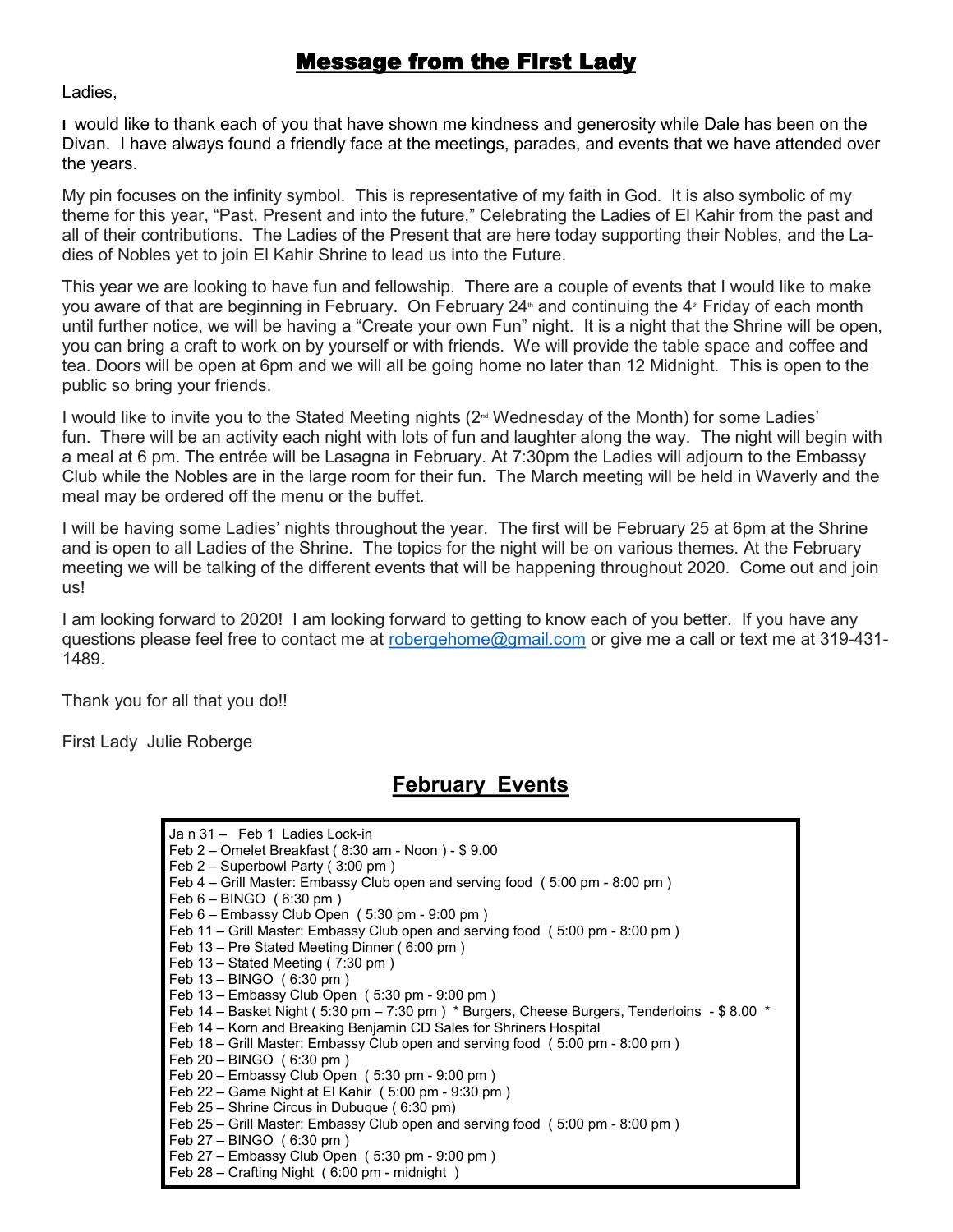## Message from the First Lady

Ladies,

**I** would like to thank each of you that have shown me kindness and generosity while Dale has been on the Divan. I have always found a friendly face at the meetings, parades, and events that we have attended over the years.

My pin focuses on the infinity symbol. This is representative of my faith in God. It is also symbolic of my theme for this year, "Past, Present and into the future," Celebrating the Ladies of El Kahir from the past and all of their contributions. The Ladies of the Present that are here today supporting their Nobles, and the Ladies of Nobles yet to join El Kahir Shrine to lead us into the Future.

This year we are looking to have fun and fellowship. There are a couple of events that I would like to make you aware of that are beginning in February. On February 24<sup>th</sup> and continuing the 4<sup>th</sup> Friday of each month until further notice, we will be having a "Create your own Fun" night. It is a night that the Shrine will be open, you can bring a craft to work on by yourself or with friends. We will provide the table space and coffee and tea. Doors will be open at 6pm and we will all be going home no later than 12 Midnight. This is open to the public so bring your friends.

I would like to invite you to the Stated Meeting nights  $(2<sup>nd</sup> Wednesday of the Month)$  for some Ladies' fun. There will be an activity each night with lots of fun and laughter along the way. The night will begin with a meal at 6 pm. The entrée will be Lasagna in February. At 7:30pm the Ladies will adjourn to the Embassy Club while the Nobles are in the large room for their fun. The March meeting will be held in Waverly and the meal may be ordered off the menu or the buffet.

I will be having some Ladies' nights throughout the year. The first will be February 25 at 6pm at the Shrine and is open to all Ladies of the Shrine. The topics for the night will be on various themes. At the February meeting we will be talking of the different events that will be happening throughout 2020. Come out and join us!

I am looking forward to 2020! I am looking forward to getting to know each of you better. If you have any questions please feel free to contact me at [robergehome@gmail.com](mailto:robergehome@gmail.com) or give me a call or text me at 319-431- 1489.

Thank you for all that you do!!

First Lady Julie Roberge

# **February Events**

| Jan 31 - Feb 1 Ladies Lock-in<br>Feb 2 – Omelet Breakfast (8:30 am - Noon) - \$9.00<br>Feb $2 -$ Superbowl Party (3:00 pm) |
|----------------------------------------------------------------------------------------------------------------------------|
| Feb 4 – Grill Master: Embassy Club open and serving food (5:00 pm - 8:00 pm)                                               |
| Feb $6 - BINGO$ (6:30 pm)                                                                                                  |
| Feb $6$ – Embassy Club Open (5:30 pm - 9:00 pm)                                                                            |
| Feb 11 - Grill Master: Embassy Club open and serving food (5:00 pm - 8:00 pm)                                              |
| Feb 13 – Pre Stated Meeting Dinner (6:00 pm)                                                                               |
| Feb $13 -$ Stated Meeting (7:30 pm)                                                                                        |
| Feb $13 - BINGO$ (6:30 pm)                                                                                                 |
| Feb $13$ – Embassy Club Open ( $5:30$ pm - $9:00$ pm)                                                                      |
| Feb 14 - Basket Night (5:30 pm - 7:30 pm) * Burgers, Cheese Burgers, Tenderloins - \$ 8.00 *                               |
| Feb 14 – Korn and Breaking Benjamin CD Sales for Shriners Hospital                                                         |
| Feb 18 – Grill Master: Embassy Club open and serving food (5:00 pm - 8:00 pm)                                              |
| Feb $20 - BINGO$ (6:30 pm)                                                                                                 |
| Feb $20 -$ Embassy Club Open (5:30 pm - 9:00 pm)                                                                           |
| Feb $22$ – Game Night at El Kahir (5:00 pm - 9:30 pm)                                                                      |
| Feb 25 - Shrine Circus in Dubuque (6:30 pm)                                                                                |
| Feb 25 – Grill Master: Embassy Club open and serving food (5:00 pm - 8:00 pm)                                              |
| Feb 27 - BINGO (6:30 pm)                                                                                                   |
| Feb 27 - Embassy Club Open (5:30 pm - 9:00 pm)                                                                             |
| Feb 28 – Crafting Night (6:00 pm - midnight)                                                                               |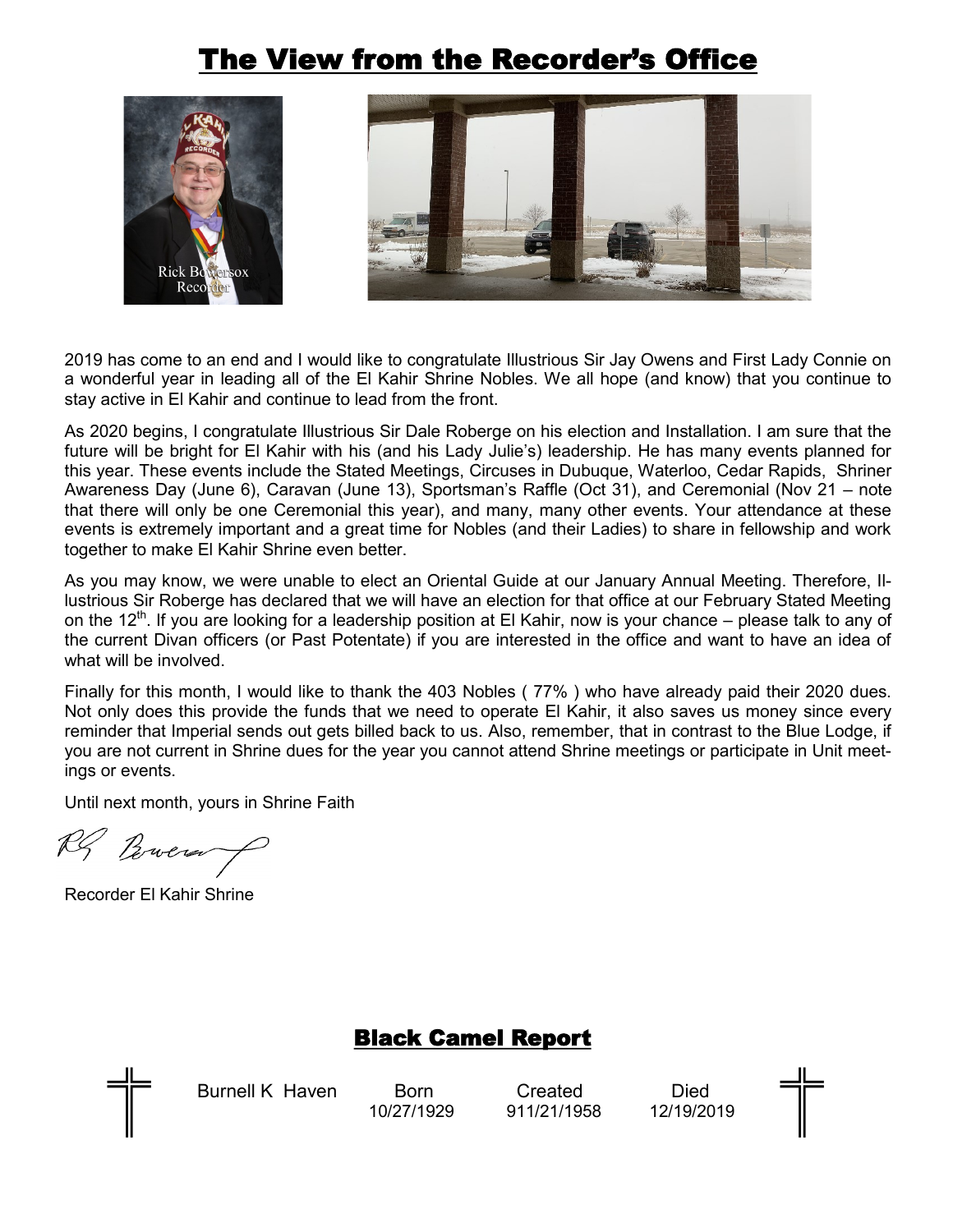# The View from the Recorder's Office





2019 has come to an end and I would like to congratulate Illustrious Sir Jay Owens and First Lady Connie on a wonderful year in leading all of the El Kahir Shrine Nobles. We all hope (and know) that you continue to stay active in El Kahir and continue to lead from the front.

As 2020 begins, I congratulate Illustrious Sir Dale Roberge on his election and Installation. I am sure that the future will be bright for El Kahir with his (and his Lady Julie's) leadership. He has many events planned for this year. These events include the Stated Meetings, Circuses in Dubuque, Waterloo, Cedar Rapids, Shriner Awareness Day (June 6), Caravan (June 13), Sportsman's Raffle (Oct 31), and Ceremonial (Nov 21 – note that there will only be one Ceremonial this year), and many, many other events. Your attendance at these events is extremely important and a great time for Nobles (and their Ladies) to share in fellowship and work together to make El Kahir Shrine even better.

As you may know, we were unable to elect an Oriental Guide at our January Annual Meeting. Therefore, Illustrious Sir Roberge has declared that we will have an election for that office at our February Stated Meeting on the 12<sup>th</sup>. If you are looking for a leadership position at El Kahir, now is your chance – please talk to any of the current Divan officers (or Past Potentate) if you are interested in the office and want to have an idea of what will be involved.

Finally for this month, I would like to thank the 403 Nobles ( 77% ) who have already paid their 2020 dues. Not only does this provide the funds that we need to operate El Kahir, it also saves us money since every reminder that Imperial sends out gets billed back to us. Also, remember, that in contrast to the Blue Lodge, if you are not current in Shrine dues for the year you cannot attend Shrine meetings or participate in Unit meetings or events.

Until next month, yours in Shrine Faith

RS Brown

Recorder El Kahir Shrine

# Black Camel Report



Burnell K Haven Born Created Died

10/27/1929 911/21/1958 12/19/2019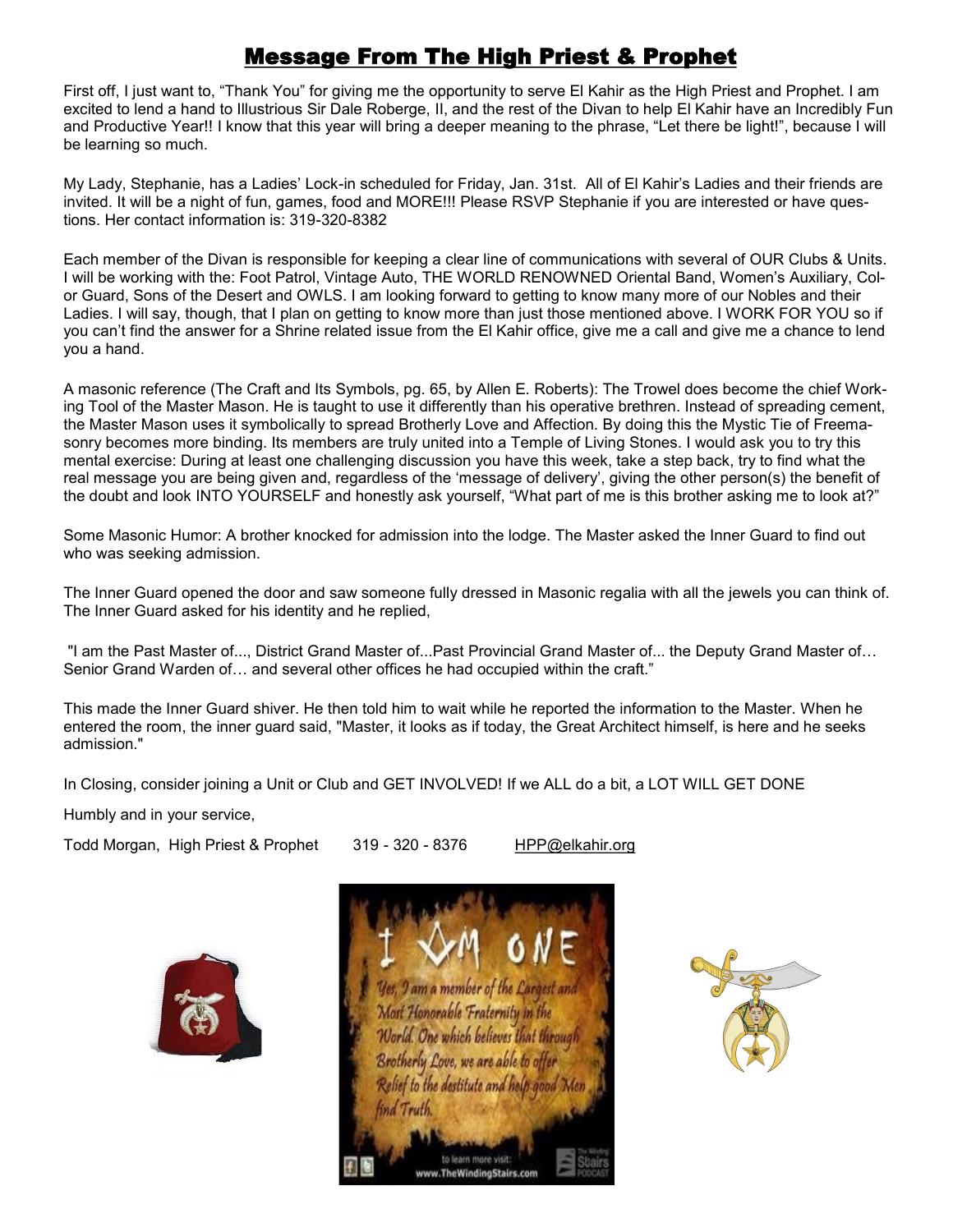# Message From The High Priest & Prophet

First off, I just want to, "Thank You" for giving me the opportunity to serve El Kahir as the High Priest and Prophet. I am excited to lend a hand to Illustrious Sir Dale Roberge, II, and the rest of the Divan to help El Kahir have an Incredibly Fun and Productive Year!! I know that this year will bring a deeper meaning to the phrase, "Let there be light!", because I will be learning so much.

My Lady, Stephanie, has a Ladies' Lock-in scheduled for Friday, Jan. 31st. All of El Kahir's Ladies and their friends are invited. It will be a night of fun, games, food and MORE!!! Please RSVP Stephanie if you are interested or have questions. Her contact information is: 319-320-8382

Each member of the Divan is responsible for keeping a clear line of communications with several of OUR Clubs & Units. I will be working with the: Foot Patrol, Vintage Auto, THE WORLD RENOWNED Oriental Band, Women's Auxiliary, Color Guard, Sons of the Desert and OWLS. I am looking forward to getting to know many more of our Nobles and their Ladies. I will say, though, that I plan on getting to know more than just those mentioned above. I WORK FOR YOU so if you can't find the answer for a Shrine related issue from the El Kahir office, give me a call and give me a chance to lend you a hand.

A masonic reference (The Craft and Its Symbols, pg. 65, by Allen E. Roberts): The Trowel does become the chief Working Tool of the Master Mason. He is taught to use it differently than his operative brethren. Instead of spreading cement, the Master Mason uses it symbolically to spread Brotherly Love and Affection. By doing this the Mystic Tie of Freemasonry becomes more binding. Its members are truly united into a Temple of Living Stones. I would ask you to try this mental exercise: During at least one challenging discussion you have this week, take a step back, try to find what the real message you are being given and, regardless of the 'message of delivery', giving the other person(s) the benefit of the doubt and look INTO YOURSELF and honestly ask yourself, "What part of me is this brother asking me to look at?"

Some Masonic Humor: A brother knocked for admission into the lodge. The Master asked the Inner Guard to find out who was seeking admission.

The Inner Guard opened the door and saw someone fully dressed in Masonic regalia with all the jewels you can think of. The Inner Guard asked for his identity and he replied,

"I am the Past Master of..., District Grand Master of...Past Provincial Grand Master of... the Deputy Grand Master of… Senior Grand Warden of… and several other offices he had occupied within the craft."

This made the Inner Guard shiver. He then told him to wait while he reported the information to the Master. When he entered the room, the inner guard said, "Master, it looks as if today, the Great Architect himself, is here and he seeks admission."

In Closing, consider joining a Unit or Club and GET INVOLVED! If we ALL do a bit, a LOT WILL GET DONE

Humbly and in your service,

Todd Morgan, High Priest & Prophet 319 - 320 - 8376 HPP@elkahir.org



I am a member of the Largest and Most Honorable Fraternity in the World. One which believes that through Brotherly Love, we are able to Relief to the destitute and help good Men ind Truth to learn more visit www.TheWindingStairs.com

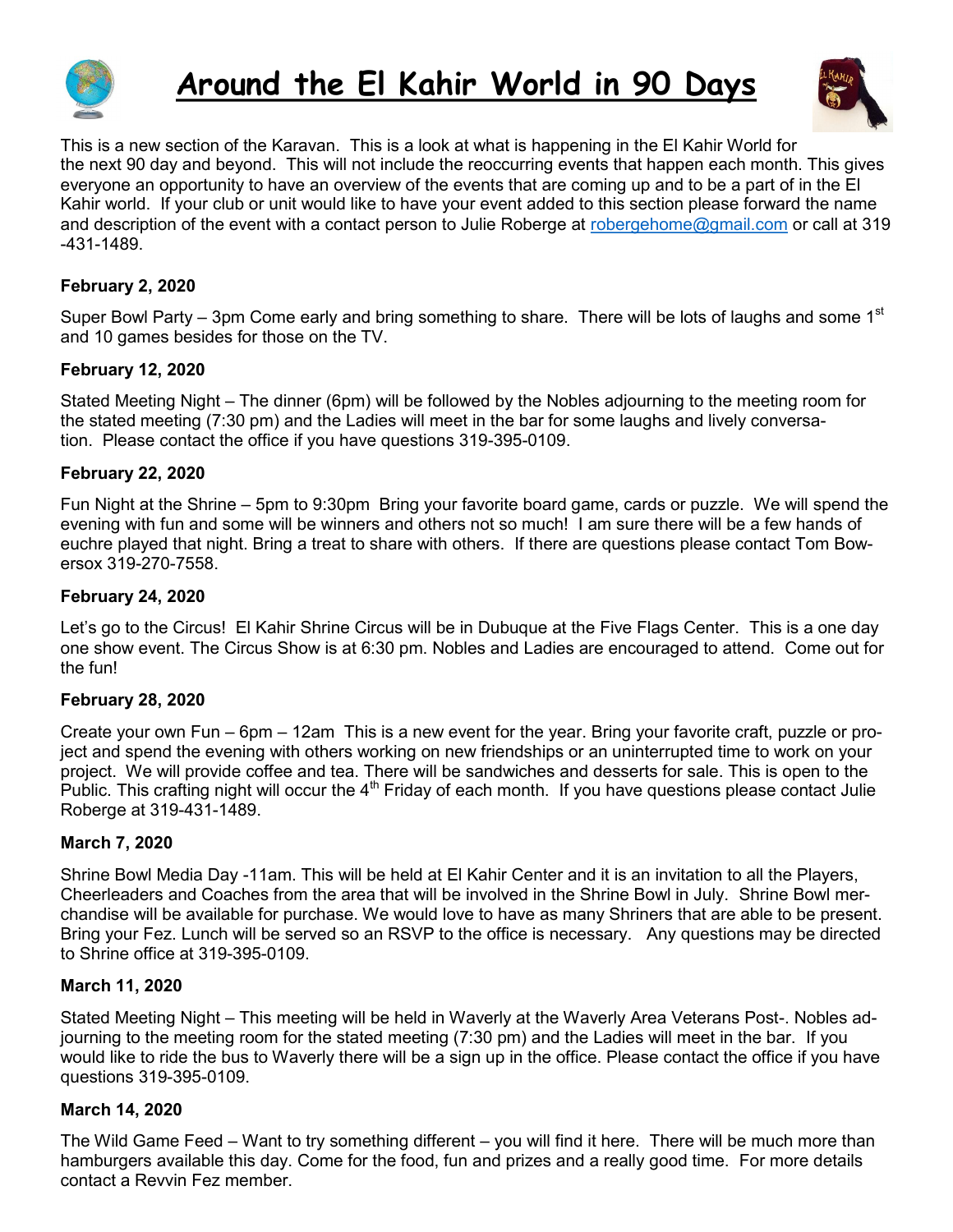

# **Around the El Kahir World in 90 Days**



This is a new section of the Karavan. This is a look at what is happening in the El Kahir World for the next 90 day and beyond. This will not include the reoccurring events that happen each month. This gives everyone an opportunity to have an overview of the events that are coming up and to be a part of in the El Kahir world. If your club or unit would like to have your event added to this section please forward the name and description of the event with a contact person to Julie Roberge at [robergehome@gmail.com](mailto:robergehome@gmail.com) or call at 319 -431-1489.

#### **February 2, 2020**

Super Bowl Party – 3pm Come early and bring something to share. There will be lots of laughs and some 1<sup>st</sup> and 10 games besides for those on the TV.

#### **February 12, 2020**

Stated Meeting Night – The dinner (6pm) will be followed by the Nobles adjourning to the meeting room for the stated meeting (7:30 pm) and the Ladies will meet in the bar for some laughs and lively conversation. Please contact the office if you have questions 319-395-0109.

#### **February 22, 2020**

Fun Night at the Shrine – 5pm to 9:30pm Bring your favorite board game, cards or puzzle. We will spend the evening with fun and some will be winners and others not so much! I am sure there will be a few hands of euchre played that night. Bring a treat to share with others. If there are questions please contact Tom Bowersox 319-270-7558.

#### **February 24, 2020**

Let's go to the Circus! El Kahir Shrine Circus will be in Dubuque at the Five Flags Center. This is a one day one show event. The Circus Show is at 6:30 pm. Nobles and Ladies are encouraged to attend. Come out for the fun!

#### **February 28, 2020**

Create your own Fun – 6pm – 12am This is a new event for the year. Bring your favorite craft, puzzle or project and spend the evening with others working on new friendships or an uninterrupted time to work on your project. We will provide coffee and tea. There will be sandwiches and desserts for sale. This is open to the Public. This crafting night will occur the 4<sup>th</sup> Friday of each month. If you have questions please contact Julie Roberge at 319-431-1489.

#### **March 7, 2020**

Shrine Bowl Media Day -11am. This will be held at El Kahir Center and it is an invitation to all the Players, Cheerleaders and Coaches from the area that will be involved in the Shrine Bowl in July. Shrine Bowl merchandise will be available for purchase. We would love to have as many Shriners that are able to be present. Bring your Fez. Lunch will be served so an RSVP to the office is necessary. Any questions may be directed to Shrine office at 319-395-0109.

#### **March 11, 2020**

Stated Meeting Night – This meeting will be held in Waverly at the Waverly Area Veterans Post-. Nobles adjourning to the meeting room for the stated meeting (7:30 pm) and the Ladies will meet in the bar. If you would like to ride the bus to Waverly there will be a sign up in the office. Please contact the office if you have questions 319-395-0109.

#### **March 14, 2020**

The Wild Game Feed – Want to try something different – you will find it here. There will be much more than hamburgers available this day. Come for the food, fun and prizes and a really good time. For more details contact a Revvin Fez member.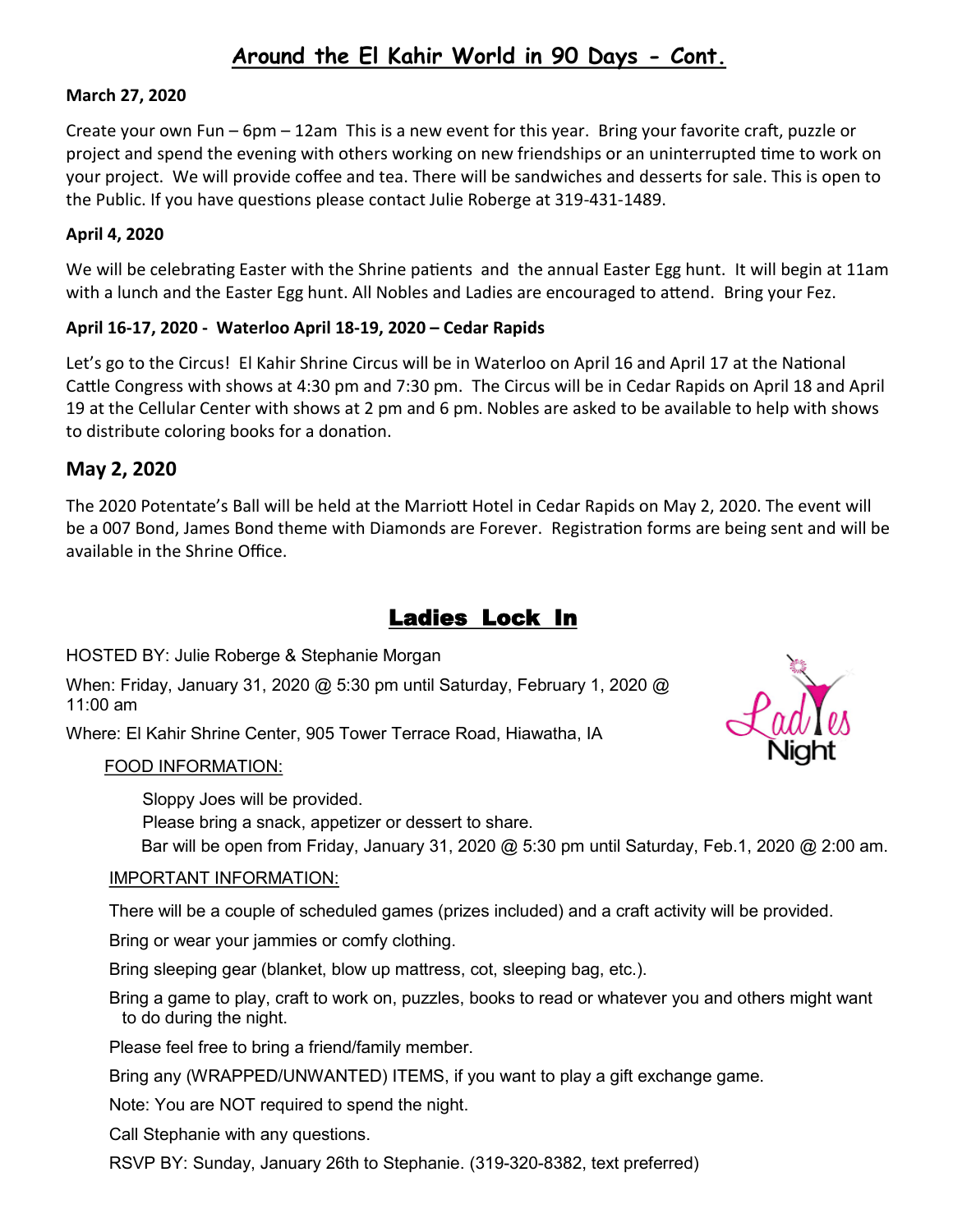# **Around the El Kahir World in 90 Days - Cont.**

#### **March 27, 2020**

Create your own Fun – 6pm – 12am This is a new event for this year. Bring your favorite craft, puzzle or project and spend the evening with others working on new friendships or an uninterrupted time to work on your project. We will provide coffee and tea. There will be sandwiches and desserts for sale. This is open to the Public. If you have questions please contact Julie Roberge at 319-431-1489.

#### **April 4, 2020**

We will be celebrating Easter with the Shrine patients and the annual Easter Egg hunt. It will begin at 11am with a lunch and the Easter Egg hunt. All Nobles and Ladies are encouraged to attend. Bring your Fez.

#### **April 16-17, 2020 - Waterloo April 18-19, 2020 – Cedar Rapids**

Let's go to the Circus! El Kahir Shrine Circus will be in Waterloo on April 16 and April 17 at the National Cattle Congress with shows at 4:30 pm and 7:30 pm. The Circus will be in Cedar Rapids on April 18 and April 19 at the Cellular Center with shows at 2 pm and 6 pm. Nobles are asked to be available to help with shows to distribute coloring books for a donation.

### **May 2, 2020**

The 2020 Potentate's Ball will be held at the Marriott Hotel in Cedar Rapids on May 2, 2020. The event will be a 007 Bond, James Bond theme with Diamonds are Forever. Registration forms are being sent and will be available in the Shrine Office.

## Ladies Lock In

HOSTED BY: Julie Roberge & Stephanie Morgan

When: Friday, January 31, 2020 @ 5:30 pm until Saturday, February 1, 2020 @ 11:00 am

Where: El Kahir Shrine Center, 905 Tower Terrace Road, Hiawatha, IA

#### FOOD INFORMATION:

Sloppy Joes will be provided.

Please bring a snack, appetizer or dessert to share.

Bar will be open from Friday, January 31, 2020 @ 5:30 pm until Saturday, Feb.1, 2020 @ 2:00 am.

#### IMPORTANT INFORMATION:

There will be a couple of scheduled games (prizes included) and a craft activity will be provided.

Bring or wear your jammies or comfy clothing.

Bring sleeping gear (blanket, blow up mattress, cot, sleeping bag, etc.).

 Bring a game to play, craft to work on, puzzles, books to read or whatever you and others might want to do during the night.

Please feel free to bring a friend/family member.

Bring any (WRAPPED/UNWANTED) ITEMS, if you want to play a gift exchange game.

Note: You are NOT required to spend the night.

Call Stephanie with any questions.

RSVP BY: Sunday, January 26th to Stephanie. (319-320-8382, text preferred)

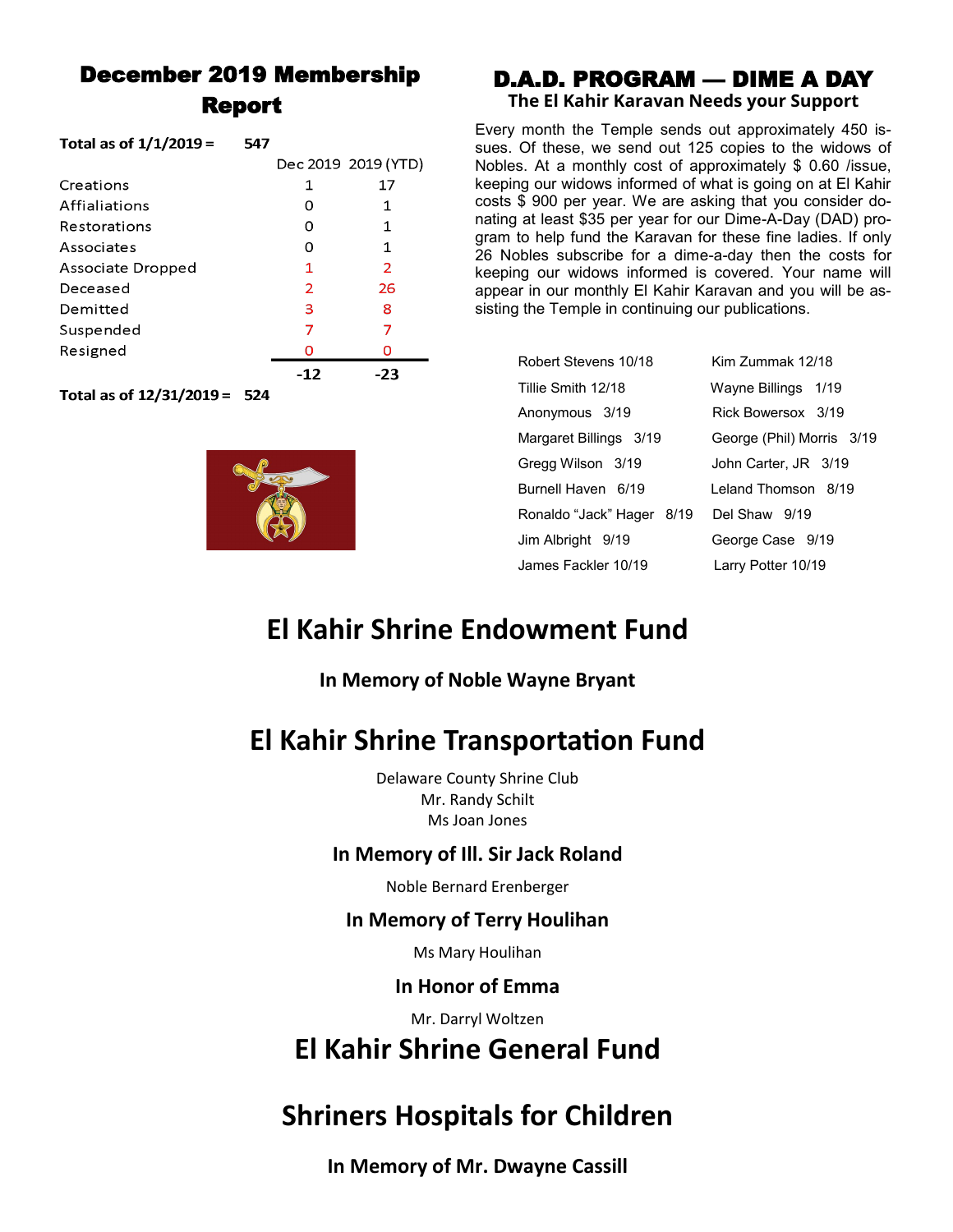# December 2019 Membership Report

 $FAT$ 

| 10 Ldi da 01 1/1/2019 = | 34 I |     |                     |
|-------------------------|------|-----|---------------------|
|                         |      |     | Dec 2019 2019 (YTD) |
| Creations               |      | 1   | 17                  |
| Affialiations           |      | 0   | 1                   |
| Restorations            |      | 0   | 1                   |
| Associates              |      | 0   | 1                   |
| Associate Dropped       |      | 1   | $\overline{2}$      |
| Deceased                |      | 2   | 26                  |
| Demitted                |      | з   | 8                   |
| Suspended               |      | 7   | 7                   |
| Resigned                |      | o   | O                   |
|                         |      | -12 | -23                 |

Total as of 12/31/2019 = 524

 $Total = 44/1/2010 -$ 



### D.A.D. PROGRAM — DIME A DAY **The El Kahir Karavan Needs your Support**

Every month the Temple sends out approximately 450 issues. Of these, we send out 125 copies to the widows of Nobles. At a monthly cost of approximately \$ 0.60 /issue, keeping our widows informed of what is going on at El Kahir costs \$ 900 per year. We are asking that you consider donating at least \$35 per year for our Dime-A-Day (DAD) program to help fund the Karavan for these fine ladies. If only 26 Nobles subscribe for a dime-a-day then the costs for keeping our widows informed is covered. Your name will appear in our monthly El Kahir Karavan and you will be assisting the Temple in continuing our publications.

| Robert Stevens 10/18    |
|-------------------------|
| Tillie Smith 12/18      |
| Anonymous 3/19          |
| Margaret Billings 3/19  |
| Gregg Wilson 3/19       |
| Burnell Haven 6/19      |
| Ronaldo "Jack" Hager 8/ |
| Jim Albright 9/19       |
| James Fackler 10/19     |

Kim Zummak 12/18 Wayne Billings 1/19 Rick Bowersox 3/19 George (Phil) Morris 3/19 John Carter, JR 3/19 Leland Thomson 8/19 19 Del Shaw 9/19 George Case 9/19 Larry Potter 10/19

# **El Kahir Shrine Endowment Fund**

## **In Memory of Noble Wayne Bryant**

# **El Kahir Shrine Transportation Fund**

Delaware County Shrine Club Mr. Randy Schilt Ms Joan Jones

## **In Memory of Ill. Sir Jack Roland**

Noble Bernard Erenberger

### **In Memory of Terry Houlihan**

Ms Mary Houlihan

### **In Honor of Emma**

Mr. Darryl Woltzen

# **El Kahir Shrine General Fund**

# **Shriners Hospitals for Children**

**In Memory of Mr. Dwayne Cassill**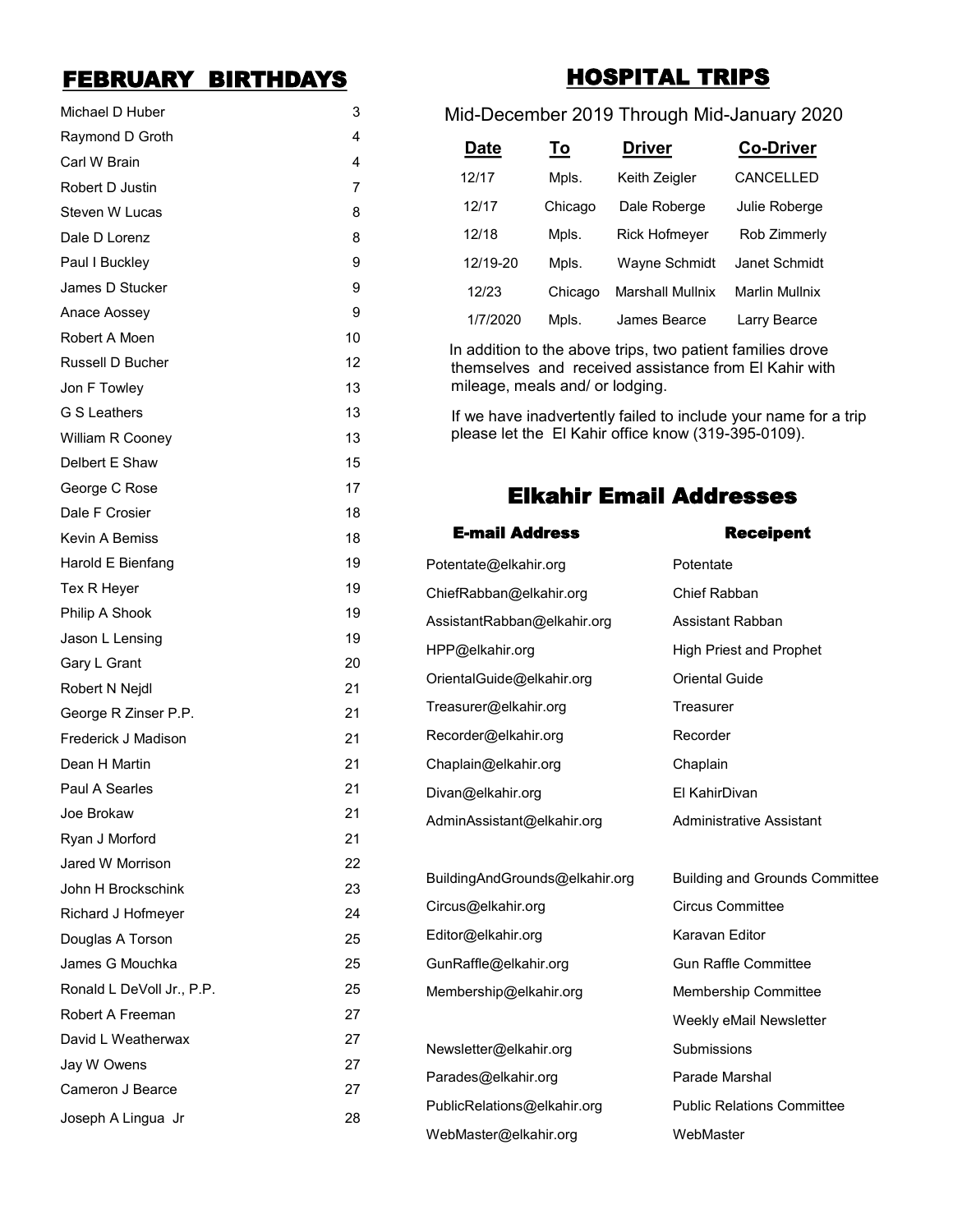# FEBRUARY BIRTHDAYS

| Michael D Huber           | 3  |
|---------------------------|----|
| Raymond D Groth           | 4  |
| Carl W Brain              | 4  |
| Robert D Justin           | 7  |
| Steven W Lucas            | 8  |
| Dale D Lorenz             | 8  |
| Paul I Buckley            | 9  |
| James D Stucker           | 9  |
| Anace Aossey              | 9  |
| Robert A Moen             | 10 |
| Russell D Bucher          | 12 |
| Jon F Towley              | 13 |
| <b>G S Leathers</b>       | 13 |
| William R Cooney          | 13 |
| Delbert E Shaw            | 15 |
| George C Rose             | 17 |
| Dale F Crosier            | 18 |
| Kevin A Bemiss            | 18 |
| Harold E Bienfang         | 19 |
| Tex R Heyer               | 19 |
| Philip A Shook            | 19 |
| Jason L Lensing           | 19 |
| Gary L Grant              | 20 |
| Robert N Nejdl            | 21 |
| George R Zinser P.P.      | 21 |
| Frederick J Madison       | 21 |
| Dean H Martin             | 21 |
| Paul A Searles            | 21 |
| Joe Brokaw                | 21 |
| Ryan J Morford            | 21 |
| Jared W Morrison          | 22 |
| John H Brockschink        | 23 |
| Richard J Hofmeyer        | 24 |
| Douglas A Torson          | 25 |
| James G Mouchka           | 25 |
| Ronald L DeVoll Jr., P.P. | 25 |
| Robert A Freeman          | 27 |
| David L Weatherwax        | 27 |
| Jay W Owens               | 27 |
| Cameron J Bearce          | 27 |
| Joseph A Lingua Jr        | 28 |

# HOSPITAL TRIPS

### Mid-December 2019 Through Mid-January 2020

| <b>Date</b> | <u>To</u> | <b>Driver</b>           | <b>Co-Driver</b>      |
|-------------|-----------|-------------------------|-----------------------|
| 12/17       | Mpls.     | Keith Zeigler           | <b>CANCELLED</b>      |
| 12/17       | Chicago   | Dale Roberge            | Julie Roberge         |
| 12/18       | Mpls.     | <b>Rick Hofmeyer</b>    | Rob Zimmerly          |
| 12/19-20    | Mpls.     | Wayne Schmidt           | Janet Schmidt         |
| 12/23       | Chicago   | <b>Marshall Mullnix</b> | <b>Marlin Mullnix</b> |
| 1/7/2020    | Mpls.     | James Bearce            | Larry Bearce          |

In addition to the above trips, two patient families drove themselves and received assistance from El Kahir with mileage, meals and/ or lodging.

 If we have inadvertently failed to include your name for a trip please let the El Kahir office know (319-395-0109).

## Elkahir Email Addresses

| <b>E-mail Address</b>          | <b>Receipent</b>                      |
|--------------------------------|---------------------------------------|
| Potentate@elkahir.org          | Potentate                             |
| ChiefRabban@elkahir.org        | Chief Rabban                          |
| AssistantRabban@elkahir.org    | Assistant Rabban                      |
| HPP@elkahir.org                | <b>High Priest and Prophet</b>        |
| OrientalGuide@elkahir.org      | <b>Oriental Guide</b>                 |
| Treasurer@elkahir.org          | Treasurer                             |
| Recorder@elkahir.org           | Recorder                              |
| Chaplain@elkahir.org           | Chaplain                              |
| Divan@elkahir.org              | El KahirDivan                         |
| AdminAssistant@elkahir.org     | <b>Administrative Assistant</b>       |
|                                |                                       |
| BuildingAndGrounds@elkahir.org | <b>Building and Grounds Committee</b> |
| Circus@elkahir.org             | <b>Circus Committee</b>               |
| Editor@elkahir.org             | Karavan Editor                        |
| GunRaffle@elkahir.org          | <b>Gun Raffle Committee</b>           |
| Membership@elkahir.org         | <b>Membership Committee</b>           |
|                                | Weekly eMail Newsletter               |
| Newsletter@elkahir.org         | Submissions                           |
| Parades@elkahir.org            | Parade Marshal                        |
| PublicRelations@elkahir.org    | <b>Public Relations Committee</b>     |
| WebMaster@elkahir.org          | WebMaster                             |
|                                |                                       |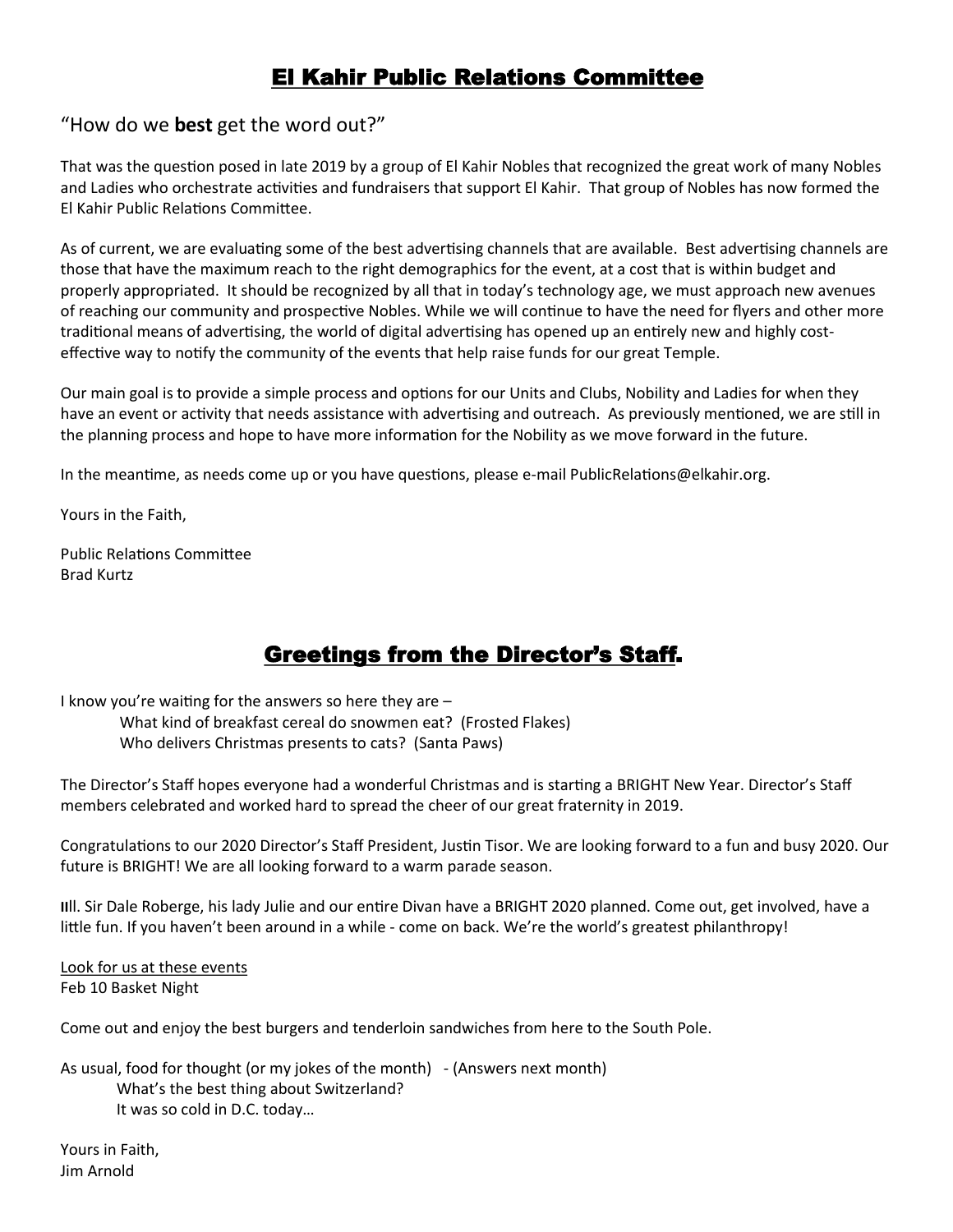# El Kahir Public Relations Committee

#### "How do we **best** get the word out?"

That was the question posed in late 2019 by a group of El Kahir Nobles that recognized the great work of many Nobles and Ladies who orchestrate activities and fundraisers that support El Kahir. That group of Nobles has now formed the El Kahir Public Relations Committee.

As of current, we are evaluating some of the best advertising channels that are available. Best advertising channels are those that have the maximum reach to the right demographics for the event, at a cost that is within budget and properly appropriated. It should be recognized by all that in today's technology age, we must approach new avenues of reaching our community and prospective Nobles. While we will continue to have the need for flyers and other more traditional means of advertising, the world of digital advertising has opened up an entirely new and highly costeffective way to notify the community of the events that help raise funds for our great Temple.

Our main goal is to provide a simple process and options for our Units and Clubs, Nobility and Ladies for when they have an event or activity that needs assistance with advertising and outreach. As previously mentioned, we are still in the planning process and hope to have more information for the Nobility as we move forward in the future.

In the meantime, as needs come up or you have questions, please e-mail PublicRelations@elkahir.org.

Yours in the Faith,

Public Relations Committee Brad Kurtz

# Greetings from the Director's Staff.

I know you're waiting for the answers so here they are – What kind of breakfast cereal do snowmen eat? (Frosted Flakes) Who delivers Christmas presents to cats? (Santa Paws)

The Director's Staff hopes everyone had a wonderful Christmas and is starting a BRIGHT New Year. Director's Staff members celebrated and worked hard to spread the cheer of our great fraternity in 2019.

Congratulations to our 2020 Director's Staff President, Justin Tisor. We are looking forward to a fun and busy 2020. Our future is BRIGHT! We are all looking forward to a warm parade season.

**II**ll. Sir Dale Roberge, his lady Julie and our entire Divan have a BRIGHT 2020 planned. Come out, get involved, have a little fun. If you haven't been around in a while - come on back. We're the world's greatest philanthropy!

Look for us at these events Feb 10 Basket Night

Come out and enjoy the best burgers and tenderloin sandwiches from here to the South Pole.

As usual, food for thought (or my jokes of the month) - (Answers next month) What's the best thing about Switzerland? It was so cold in D.C. today…

Yours in Faith, Jim Arnold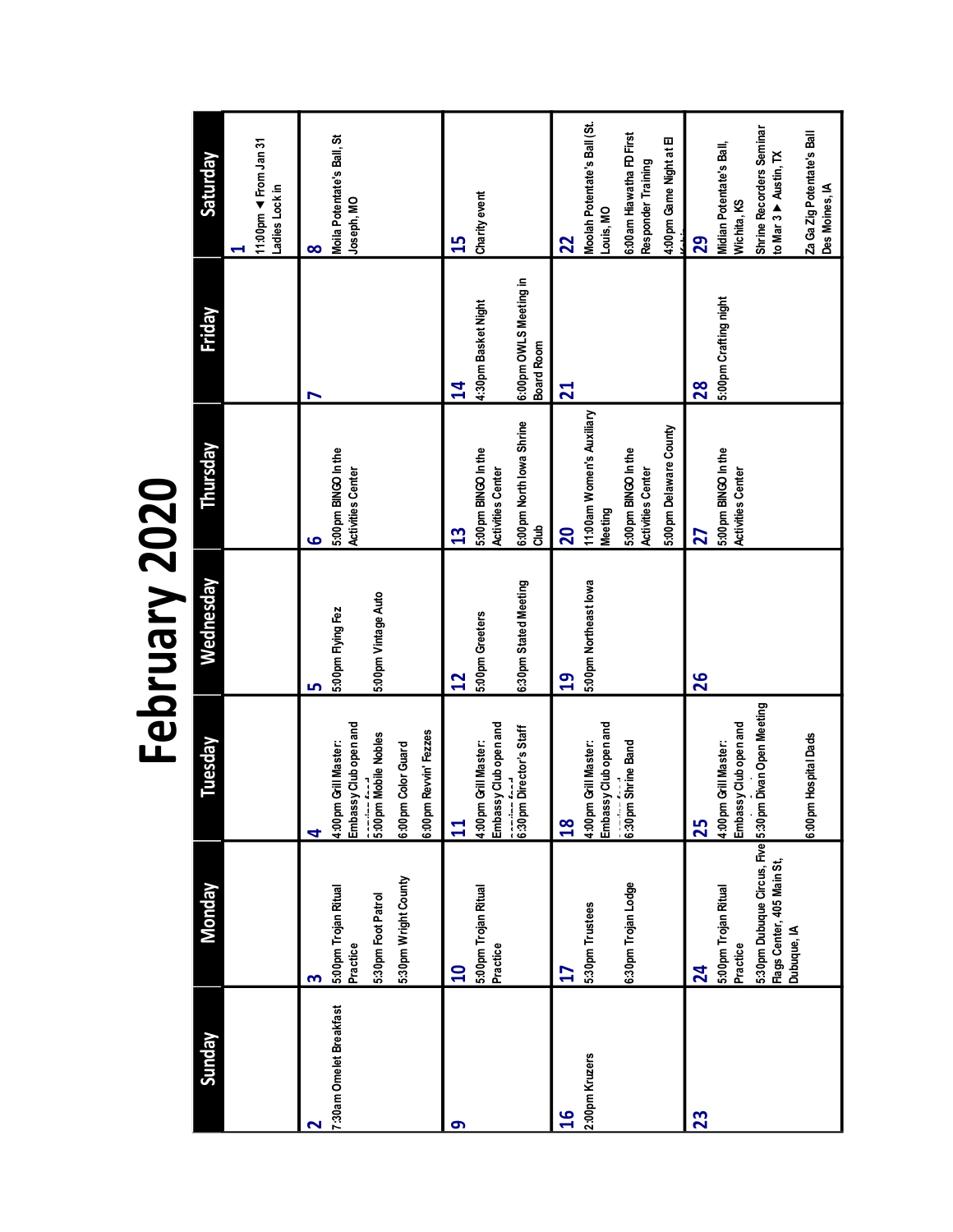February 2020 **February 2020**

| <b><i>Sunday</i></b>           | <b>Monday</b>                                                                                                                                  | Tuesday                                                                                                                                         | Wednesday                                                | Thursday                                                                                                                | Friday                                                                       | Saturday                                                                                                                                           |
|--------------------------------|------------------------------------------------------------------------------------------------------------------------------------------------|-------------------------------------------------------------------------------------------------------------------------------------------------|----------------------------------------------------------|-------------------------------------------------------------------------------------------------------------------------|------------------------------------------------------------------------------|----------------------------------------------------------------------------------------------------------------------------------------------------|
|                                |                                                                                                                                                |                                                                                                                                                 |                                                          |                                                                                                                         |                                                                              | 11:00pm < From Jan 31<br>Ladies Lock in                                                                                                            |
| 7:30am Omelet Breakfast<br>ี   | 5:30pm Wright County<br>5:00 pm Trojan Ritual<br>5:30pm Foot Patrol<br>Practice<br>m                                                           | Embassy Club open and<br>6:00pm Revvin' Fezzes<br><b>Commandia</b><br>5:00 pm Mobile Nobles<br>4:00 pm Grill Master:<br>6:00pm Color Guard<br>4 | 5:00 pm Vintage Auto<br>5:00 pm Flying Fez<br>m          | 5:00pm BINGO In the<br><b>Activities Center</b><br>G                                                                    |                                                                              | Moila Potentate's Ball, St<br>Joseph, MO<br>8                                                                                                      |
| თ                              | 5:00 pm Trojan Ritual<br>Practice<br>$\mathbf{a}$                                                                                              | Embassy Club open and<br>acculation Director's Staff<br>4:00pm Grill Master:<br>$\mathbf{11}$                                                   | 6:30pm Stated Meeting<br>5:00pm Greeters<br>$\mathbf{r}$ | 6:00pm North lowa Shrine<br>5:00pm BINGO In the<br><b>Activities Center</b><br>$\frac{1}{5}$<br>13                      | 6:00pm OWLS Meeting in<br>4:30pm Basket Night<br>Board Room<br>$\mathbf{14}$ | Charity event<br>15                                                                                                                                |
| 2:00pm Kruzers<br>$\mathbf{g}$ | 6:30 pm Trojan Lodge<br>5:30pm Trustees<br>27                                                                                                  | Embassy Club open and<br>4:00pm Grill Master:<br>6:30pm Shrine Band<br>$\frac{8}{10}$                                                           | 5:00pm Northeast lowa<br>$\overline{a}$                  | 11:00am Women's Auxiliary<br>5:00pm Delaware County<br>5:00pm BINGO In the<br><b>Activities Center</b><br>Meeting<br>20 | $\mathbf{z}$                                                                 | Moolah Potentate's Ball (St.<br>6:00 am Hiawatha FD First<br>4:00 pm Game Night at El<br>Responder Training<br>Louis, MO<br>22                     |
| 23                             | 5:30 pm Dubuque Circus, Five 5:30 pm Divan Open Meeting<br>Flags Center, 405 Main St,<br>5:00pm Trojan Ritual<br>Dubuque, IA<br>Practice<br>24 | Embassy Club open and<br>6:00 pm Hospital Dads<br>4:00 pm Grill Master:<br>25                                                                   | 26                                                       | 5:00pm BINGO In the<br><b>Activities Center</b><br>27                                                                   | 5:00 pm Crafting night<br>28                                                 | Shrine Recorders Seminar<br>Za Ga Zig Potentate's Ball<br>Midian Potentate's Ball,<br>to Mar 3 > Austin, TX<br>Des Moines, IA<br>Wichita, KS<br>29 |